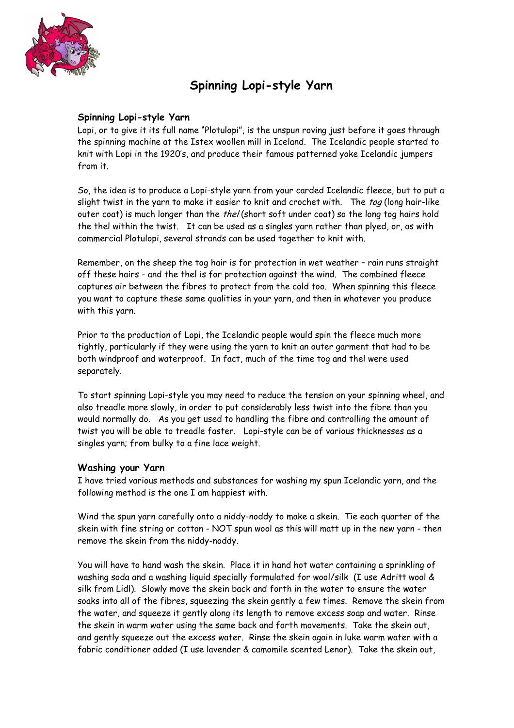

## Spinning Lopi-style Yarn

## Spinning Lopi-style Yarn

Lopi, or to give it its full name "Plotulopi", is the unspun roving just before it goes through the spinning machine at the Istex woollen mill in Iceland. The Icelandic people started to knit with Lopi in the 1920's, and produce their famous patterned yoke Icelandic jumpers from it.

So, the idea is to produce a Lopi-style yarn from your carded Icelandic fleece, but to put a slight twist in the yarn to make it easier to knit and crochet with. The tog (long hair-like outer coat) is much longer than the thel (short soft under coat) so the long tog hairs hold the thel within the twist. It can be used as a singles yarn rather than plyed, or, as with commercial Plotulopi, several strands can be used together to knit with.

Remember, on the sheep the tog hair is for protection in wet weather – rain runs straight off these hairs - and the thel is for protection against the wind. The combined fleece captures air between the fibres to protect from the cold too. When spinning this fleece you want to capture these same qualities in your yarn, and then in whatever you produce with this yarn.

Prior to the production of Lopi, the Icelandic people would spin the fleece much more tightly, particularly if they were using the yarn to knit an outer garment that had to be both windproof and waterproof. In fact, much of the time tog and thel were used separately.

To start spinning Lopi-style you may need to reduce the tension on your spinning wheel, and also treadle more slowly, in order to put considerably less twist into the fibre than you would normally do. As you get used to handling the fibre and controlling the amount of twist you will be able to treadle faster. Lopi-style can be of various thicknesses as a singles yarn; from bulky to a fine lace weight.

## Washing your Yarn

I have tried various methods and substances for washing my spun Icelandic yarn, and the following method is the one I am happiest with.

Wind the spun yarn carefully onto a niddy-noddy to make a skein. Tie each quarter of the skein with fine string or cotton - NOT spun wool as this will matt up in the new yarn - then remove the skein from the niddy-noddy.

You will have to hand wash the skein. Place it in hand hot water containing a sprinkling of washing soda and a washing liquid specially formulated for wool/silk (I use Adritt wool & silk from Lidl). Slowly move the skein back and forth in the water to ensure the water soaks into all of the fibres, squeezing the skein gently a few times. Remove the skein from the water, and squeeze it gently along its length to remove excess soap and water. Rinse the skein in warm water using the same back and forth movements. Take the skein out, and gently squeeze out the excess water. Rinse the skein again in luke warm water with a fabric conditioner added (I use lavender & camomile scented Lenor). Take the skein out,